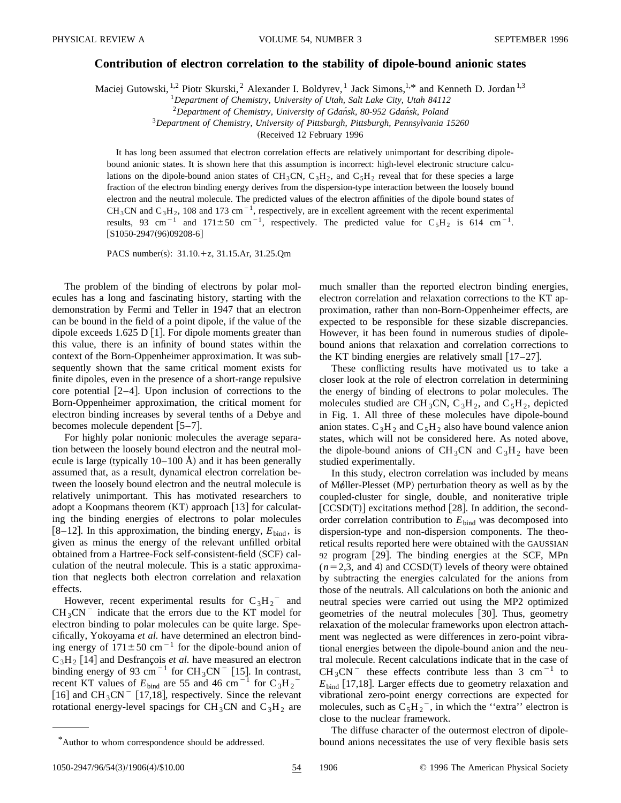## **Contribution of electron correlation to the stability of dipole-bound anionic states**

Maciej Gutowski, <sup>1,2</sup> Piotr Skurski, <sup>2</sup> Alexander I. Boldyrev, <sup>1</sup> Jack Simons, <sup>1,\*</sup> and Kenneth D. Jordan <sup>1,3</sup>

<sup>1</sup>*Department of Chemistry, University of Utah, Salt Lake City, Utah 84112*

<sup>2</sup>*Department of Chemistry, University of Gdan´sk, 80-952 Gdan´sk, Poland*

<sup>3</sup>*Department of Chemistry, University of Pittsburgh, Pittsburgh, Pennsylvania 15260*

(Received 12 February 1996

It has long been assumed that electron correlation effects are relatively unimportant for describing dipolebound anionic states. It is shown here that this assumption is incorrect: high-level electronic structure calculations on the dipole-bound anion states of CH<sub>3</sub>CN, C<sub>3</sub>H<sub>2</sub>, and C<sub>5</sub>H<sub>2</sub> reveal that for these species a large fraction of the electron binding energy derives from the dispersion-type interaction between the loosely bound electron and the neutral molecule. The predicted values of the electron affinities of the dipole bound states of CH<sub>3</sub>CN and C<sub>3</sub>H<sub>2</sub>, 108 and 173 cm<sup>-1</sup>, respectively, are in excellent agreement with the recent experimental results, 93 cm<sup>-1</sup> and 171±50 cm<sup>-1</sup>, respectively. The predicted value for C<sub>5</sub>H<sub>2</sub> is 614 cm<sup>-1</sup>.  $[S1050-2947(96)09208-6]$ 

PACS number(s):  $31.10.+z$ ,  $31.15.Ar$ ,  $31.25.Qm$ 

The problem of the binding of electrons by polar molecules has a long and fascinating history, starting with the demonstration by Fermi and Teller in 1947 that an electron can be bound in the field of a point dipole, if the value of the dipole exceeds 1.625 D [1]. For dipole moments greater than this value, there is an infinity of bound states within the context of the Born-Oppenheimer approximation. It was subsequently shown that the same critical moment exists for finite dipoles, even in the presence of a short-range repulsive core potential  $[2-4]$ . Upon inclusion of corrections to the Born-Oppenheimer approximation, the critical moment for electron binding increases by several tenths of a Debye and becomes molecule dependent  $[5-7]$ .

For highly polar nonionic molecules the average separation between the loosely bound electron and the neutral molecule is large (typically  $10-100$  Å) and it has been generally assumed that, as a result, dynamical electron correlation between the loosely bound electron and the neutral molecule is relatively unimportant. This has motivated researchers to adopt a Koopmans theorem  $(KT)$  approach [13] for calculating the binding energies of electrons to polar molecules [8–12]. In this approximation, the binding energy,  $E_{bind}$ , is given as minus the energy of the relevant unfilled orbital obtained from a Hartree-Fock self-consistent-field (SCF) calculation of the neutral molecule. This is a static approximation that neglects both electron correlation and relaxation effects.

However, recent experimental results for  $C_3H_2$ <sup>-</sup> and  $CH_3CN^-$  indicate that the errors due to the KT model for electron binding to polar molecules can be quite large. Specifically, Yokoyama *et al.* have determined an electron binding energy of  $171 \pm 50$  cm<sup>-1</sup> for the dipole-bound anion of  $C_3H_2$  [14] and Desfrançois *et al.* have measured an electron binding energy of 93 cm<sup>-1</sup> for CH<sub>3</sub>CN<sup>-</sup> [15]. In contrast, recent KT values of  $E_{bind}$  are 55 and 46 cm<sup>-1</sup> for  $C_3H_2^-$ [16] and  $CH_3CN^-$  [17,18], respectively. Since the relevant rotational energy-level spacings for CH<sub>3</sub>CN and C<sub>3</sub>H<sub>2</sub> are much smaller than the reported electron binding energies, electron correlation and relaxation corrections to the KT approximation, rather than non-Born-Oppenheimer effects, are expected to be responsible for these sizable discrepancies. However, it has been found in numerous studies of dipolebound anions that relaxation and correlation corrections to the KT binding energies are relatively small  $[17–27]$ .

These conflicting results have motivated us to take a closer look at the role of electron correlation in determining the energy of binding of electrons to polar molecules. The molecules studied are CH<sub>3</sub>CN, C<sub>3</sub>H<sub>2</sub>, and C<sub>5</sub>H<sub>2</sub>, depicted in Fig. 1. All three of these molecules have dipole-bound anion states.  $C_3H_2$  and  $C_5H_2$  also have bound valence anion states, which will not be considered here. As noted above, the dipole-bound anions of  $CH_3CN$  and  $C_3H_2$  have been studied experimentally.

In this study, electron correlation was included by means of Møller-Plesset (MP) perturbation theory as well as by the coupled-cluster for single, double, and noniterative triple  $[CCSD(T)]$  excitations method [28]. In addition, the secondorder correlation contribution to  $E_{\text{bind}}$  was decomposed into dispersion-type and non-dispersion components. The theoretical results reported here were obtained with the GAUSSIAN 92 program  $[29]$ . The binding energies at the SCF, MPn  $(n=2,3, \text{ and } 4)$  and CCSD(T) levels of theory were obtained by subtracting the energies calculated for the anions from those of the neutrals. All calculations on both the anionic and neutral species were carried out using the MP2 optimized geometries of the neutral molecules [30]. Thus, geometry relaxation of the molecular frameworks upon electron attachment was neglected as were differences in zero-point vibrational energies between the dipole-bound anion and the neutral molecule. Recent calculations indicate that in the case of  $CH_3CN^-$  these effects contribute less than 3 cm<sup>-1</sup> to  $E<sub>bind</sub>$  [17,18]. Larger effects due to geometry relaxation and vibrational zero-point energy corrections are expected for molecules, such as  $C_5H_2^-$ , in which the "extra" electron is close to the nuclear framework.

The diffuse character of the outermost electron of dipole-\*Author to whom correspondence should be addressed. bound anions necessitates the use of very flexible basis sets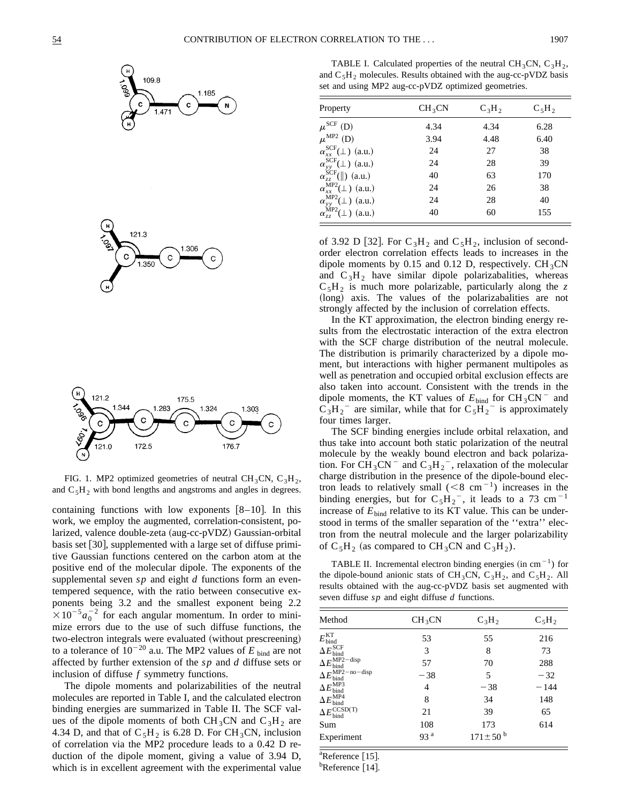



FIG. 1. MP2 optimized geometries of neutral CH<sub>3</sub>CN, C<sub>3</sub>H<sub>2</sub>, and  $C_5H_2$  with bond lengths and angstroms and angles in degrees.

containing functions with low exponents  $[8-10]$ . In this work, we employ the augmented, correlation-consistent, polarized, valence double-zeta (aug-cc-pVDZ) Gaussian-orbital basis set  $[30]$ , supplemented with a large set of diffuse primitive Gaussian functions centered on the carbon atom at the positive end of the molecular dipole. The exponents of the supplemental seven *sp* and eight *d* functions form an eventempered sequence, with the ratio between consecutive exponents being 3.2 and the smallest exponent being 2.2  $\times 10^{-5} a_0^{-2}$  for each angular momentum. In order to minimize errors due to the use of such diffuse functions, the two-electron integrals were evaluated (without prescreening) to a tolerance of  $10^{-20}$  a.u. The MP2 values of *E* bind are not affected by further extension of the *s p* and *d* diffuse sets or inclusion of diffuse *f* symmetry functions.

The dipole moments and polarizabilities of the neutral molecules are reported in Table I, and the calculated electron binding energies are summarized in Table II. The SCF values of the dipole moments of both CH<sub>3</sub>CN and C<sub>3</sub>H<sub>2</sub> are 4.34 D, and that of  $C_5H_2$  is 6.28 D. For CH<sub>3</sub>CN, inclusion of correlation via the MP2 procedure leads to a 0.42 D reduction of the dipole moment, giving a value of 3.94 D, which is in excellent agreement with the experimental value

TABLE I. Calculated properties of the neutral CH<sub>3</sub>CN, C<sub>3</sub>H<sub>2</sub>, and  $C_5H_2$  molecules. Results obtained with the aug-cc-pVDZ basis set and using MP2 aug-cc-pVDZ optimized geometries.

| Property                                 | CH <sub>3</sub> CN | $C_3H_2$ | $C_5H_2$ |
|------------------------------------------|--------------------|----------|----------|
| $\mu^{\text{SCF}}$ (D)                   | 4.34               | 4.34     | 6.28     |
| $\mu^{\text{MP2}}$ (D)                   | 3.94               | 4.48     | 6.40     |
| $\alpha_{rr}^{\rm SCF}(\perp)$ (a.u.)    | 24                 | 27       | 38       |
| $\alpha_{yy}^{\rm SCF}(\perp)$ (a.u.)    | 24                 | 28       | 39       |
| $\alpha_{zz}^{\text{SCF}}(  )$ (a.u.)    | 40                 | 63       | 170      |
| $\alpha_{xx}^{\text{MP2}}(\perp)$ (a.u.) | 24                 | 26       | 38       |
| $\alpha_{yy}^{\text{MP2}}(\perp)$ (a.u.) | 24                 | 28       | 40       |
| $\alpha_{zz}^{\text{MP2}}(\perp)$ (a.u.) | 40                 | 60       | 155      |

of 3.92 D [32]. For  $C_3H_2$  and  $C_5H_2$ , inclusion of secondorder electron correlation effects leads to increases in the dipole moments by 0.15 and 0.12 D, respectively.  $CH_3CN$ and  $C_3H_2$  have similar dipole polarizabalities, whereas  $C_5H_2$  is much more polarizable, particularly along the z (long) axis. The values of the polarizabalities are not strongly affected by the inclusion of correlation effects.

In the KT approximation, the electron binding energy results from the electrostatic interaction of the extra electron with the SCF charge distribution of the neutral molecule. The distribution is primarily characterized by a dipole moment, but interactions with higher permanent multipoles as well as penetration and occupied orbital exclusion effects are also taken into account. Consistent with the trends in the dipole moments, the KT values of  $E_{bind}$  for  $CH_3CN$ <sup>-</sup> and  $C_3H_2$ <sup>-</sup> are similar, while that for  $C_5H_2$ <sup>-</sup> is approximately four times larger.

The SCF binding energies include orbital relaxation, and thus take into account both static polarization of the neutral molecule by the weakly bound electron and back polarization. For  $CH_3CN^-$  and  $C_3H_2^-$ , relaxation of the molecular charge distribution in the presence of the dipole-bound electron leads to relatively small  $(< 8 \text{ cm}^{-1})$  increases in the binding energies, but for  $C_5H_2^-$ , it leads to a 73 cm<sup>-1</sup> increase of  $E_{bind}$  relative to its KT value. This can be understood in terms of the smaller separation of the ''extra'' electron from the neutral molecule and the larger polarizability of  $C_5H_2$  (as compared to  $CH_3CN$  and  $C_3H_2$ ).

TABLE II. Incremental electron binding energies (in cm<sup> $-1$ </sup>) for the dipole-bound anionic stats of CH<sub>3</sub>CN, C<sub>3</sub>H<sub>2</sub>, and C<sub>5</sub>H<sub>2</sub>. All results obtained with the aug-cc-pVDZ basis set augmented with seven diffuse *s p* and eight diffuse *d* functions.

| Method                                  | CH <sub>3</sub> CN | $C_3H_2$                  | $C_5H_2$ |
|-----------------------------------------|--------------------|---------------------------|----------|
| $E_{\rm bind}^{\rm KT}$                 | 53                 | 55                        | 216      |
| $\Delta E_{\rm bind}^{\rm SCF}$         | 3                  | 8                         | 73       |
| $\Delta E_{\rm bind}^{\rm MP2-disp}$    | 57                 | 70                        | 288      |
| $\Delta E_{\rm bind}^{\rm MP2-no-disp}$ | $-38$              | 5                         | $-32$    |
| $\Delta E_{\rm bind}^{\rm MP3}$         | 4                  | $-38$                     | $-144$   |
| $\Delta E_{\rm bind}^{\rm MP4}$         | 8                  | 34                        | 148      |
| $\Delta E_{\rm bind}^{\rm CCSD(T)}$     | 21                 | 39                        | 65       |
| Sum                                     | 108                | 173                       | 614      |
| Experiment                              | 93 <sup>a</sup>    | $171 \pm 50^{\mathrm{b}}$ |          |

 ${}^{a}$ Reference [15].

 $<sup>b</sup>$ Reference [14].</sup>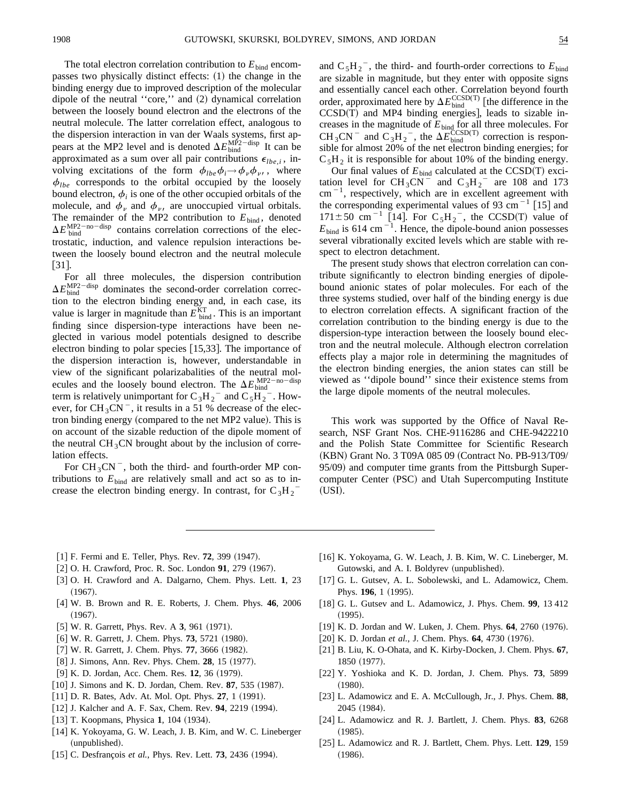The total electron correlation contribution to  $E_{\text{bind}}$  encompasses two physically distinct effects:  $(1)$  the change in the binding energy due to improved description of the molecular dipole of the neutral "core," and  $(2)$  dynamical correlation between the loosely bound electron and the electrons of the neutral molecule. The latter correlation effect, analogous to the dispersion interaction in van der Waals systems, first appears at the MP2 level and is denoted  $\Delta E_{\text{bind}}^{\text{MP2-disp}}$  It can be approximated as a sum over all pair contributions  $\epsilon_{lbe,i}$ , involving excitations of the form  $\phi_{lbe}\phi_i \rightarrow \phi_\nu \phi_\nu$ , where  $\phi$  corresponds to the orbital occupied by the loosely  $\phi_{lbe}$  corresponds to the orbital occupied by the loosely bound electron,  $\phi_i$  is one of the other occupied orbitals of the molecule, and  $\phi_{\nu}$  and  $\phi_{\nu}$ , are unoccupied virtual orbitals. The remainder of the MP2 contribution to  $E_{bind}$ , denoted  $\Delta E_{\text{bind}}^{\text{MP2-no-disp}}$  contains correlation corrections of the electrostatic, induction, and valence repulsion interactions between the loosely bound electron and the neutral molecule  $[31]$ .

For all three molecules, the dispersion contribution  $\Delta E_{\text{bind}}^{\text{MP2-disp}}$  dominates the second-order correlation correction to the electron binding energy and, in each case, its value is larger in magnitude than  $E_{bind}^{KT}$ . This is an important finding since dispersion-type interactions have been neglected in various model potentials designed to describe electron binding to polar species  $[15,33]$ . The importance of the dispersion interaction is, however, understandable in view of the significant polarizabalities of the neutral molecules and the loosely bound electron. The  $\Delta E_{\text{bind}}^{\text{MP2}}$ —no—disp term is relatively unimportant for  $C_3H_2^-$  and  $C_5H_2^-$ . However, for  $CH_3CN^-$ , it results in a 51 % decrease of the electron binding energy (compared to the net MP2 value). This is on account of the sizable reduction of the dipole moment of the neutral  $CH_3CN$  brought about by the inclusion of correlation effects.

For  $CH_3CN^-$ , both the third- and fourth-order MP contributions to  $E_{\text{bind}}$  are relatively small and act so as to increase the electron binding energy. In contrast, for  $C_3H_2^-$ 

and  $C_5H_2^-$ , the third- and fourth-order corrections to  $E_{bind}$ are sizable in magnitude, but they enter with opposite signs and essentially cancel each other. Correlation beyond fourth order, approximated here by  $\Delta E_{\text{bind}}^{\text{CCSD(T)}}$  [the difference in the  $CCSD(T)$  and MP4 binding energies], leads to sizable increases in the magnitude of  $E_{\text{bind}}$  for all three molecules. For CH<sub>3</sub>CN<sup>-</sup> and C<sub>3</sub>H<sub>2</sub><sup>-</sup>, the  $\Delta E_{bind}^{CCSD(T)}$  correction is responsible for almost 20% of the net electron binding energies; for  $C_5H_2$  it is responsible for about 10% of the binding energy.

Our final values of  $E_{bind}$  calculated at the CCSD(T) excitation level for  $CH_3CN^-$  and  $C_3H_2^-$  are 108 and 173  $cm^{-1}$ , respectively, which are in excellent agreement with the corresponding experimental values of 93 cm<sup> $-1$ </sup> [15] and  $171 \pm 50$  cm<sup>-1</sup> [14]. For C<sub>5</sub>H<sub>2</sub><sup>-</sup>, the CCSD(T) value of  $E_{\text{bind}}$  is 614 cm<sup>-1</sup>. Hence, the dipole-bound anion possesses several vibrationally excited levels which are stable with respect to electron detachment.

The present study shows that electron correlation can contribute significantly to electron binding energies of dipolebound anionic states of polar molecules. For each of the three systems studied, over half of the binding energy is due to electron correlation effects. A significant fraction of the correlation contribution to the binding energy is due to the dispersion-type interaction between the loosely bound electron and the neutral molecule. Although electron correlation effects play a major role in determining the magnitudes of the electron binding energies, the anion states can still be viewed as ''dipole bound'' since their existence stems from the large dipole moments of the neutral molecules.

This work was supported by the Office of Naval Research, NSF Grant Nos. CHE-9116286 and CHE-9422210 and the Polish State Committee for Scientific Research (KBN) Grant No. 3 T09A 085 09 (Contract No. PB-913/T09/ 95/09) and computer time grants from the Pittsburgh Supercomputer Center (PSC) and Utah Supercomputing Institute (USI).

- [1] F. Fermi and E. Teller, Phys. Rev. 72, 399 (1947).
- [2] O. H. Crawford, Proc. R. Soc. London 91, 279 (1967).
- @3# O. H. Crawford and A. Dalgarno, Chem. Phys. Lett. **1**, 23  $(1967).$
- [4] W. B. Brown and R. E. Roberts, J. Chem. Phys. **46**, 2006  $(1967).$
- $[5]$  W. R. Garrett, Phys. Rev. A 3, 961  $(1971)$ .
- $[6]$  W. R. Garrett, J. Chem. Phys. **73**, 5721 (1980).
- $[7]$  W. R. Garrett, J. Chem. Phys. **77**, 3666  $(1982)$ .
- [8] J. Simons, Ann. Rev. Phys. Chem. **28**, 15 (1977).
- [9] K. D. Jordan, Acc. Chem. Res. 12, 36 (1979).
- $[10]$  J. Simons and K. D. Jordan, Chem. Rev.  $87, 535$  (1987).
- [11] D. R. Bates, Adv. At. Mol. Opt. Phys. 27, 1 (1991).
- [12] J. Kalcher and A. F. Sax, Chem. Rev. 94, 2219 (1994).
- $[13]$  T. Koopmans, Physica **1**, 104 (1934).
- [14] K. Yokoyama, G. W. Leach, J. B. Kim, and W. C. Lineberger (unpublished).
- $[15]$  C. Desfrançois *et al.*, Phys. Rev. Lett. **73**, 2436 (1994).
- [16] K. Yokoyama, G. W. Leach, J. B. Kim, W. C. Lineberger, M. Gutowski, and A. I. Boldyrev (unpublished).
- [17] G. L. Gutsev, A. L. Sobolewski, and L. Adamowicz, Chem. Phys. 196, 1 (1995).
- @18# G. L. Gutsev and L. Adamowicz, J. Phys. Chem. **99**, 13 412  $(1995).$
- [19] K. D. Jordan and W. Luken, J. Chem. Phys. **64**, 2760 (1976).
- [20] K. D. Jordan *et al.*, J. Chem. Phys. **64**, 4730 (1976).
- @21# B. Liu, K. O-Ohata, and K. Kirby-Docken, J. Chem. Phys. **67**, 1850 (1977).
- [22] Y. Yoshioka and K. D. Jordan, J. Chem. Phys. **73**, 5899  $(1980).$
- [23] L. Adamowicz and E. A. McCullough, Jr., J. Phys. Chem. 88, 2045 (1984).
- [24] L. Adamowicz and R. J. Bartlett, J. Chem. Phys. 83, 6268  $(1985).$
- [25] L. Adamowicz and R. J. Bartlett, Chem. Phys. Lett. **129**, 159  $(1986).$